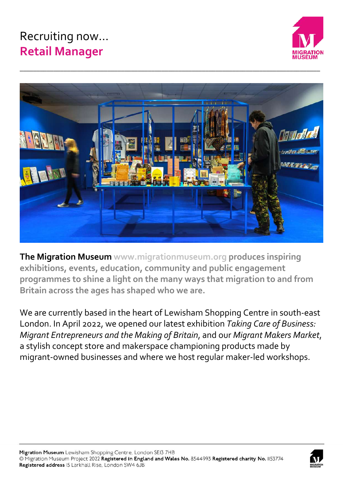# Recruiting now… **Retail Manager**





**The Migration Museum www.migrationmuseum.org produces inspiring exhibitions, events, education, community and public engagement programmes to shine a light on the many ways that migration to and from Britain across the ages has shaped who we are.** 

We are currently based in the heart of Lewisham Shopping Centre in south-east London. In April 2022, we opened our latest exhibition *Taking Care of Business: Migrant Entrepreneurs and the Making of Britain*, and our *Migrant Makers Market*, a stylish concept store and makerspace championing products made by migrant-owned businesses and where we host regular maker-led workshops.

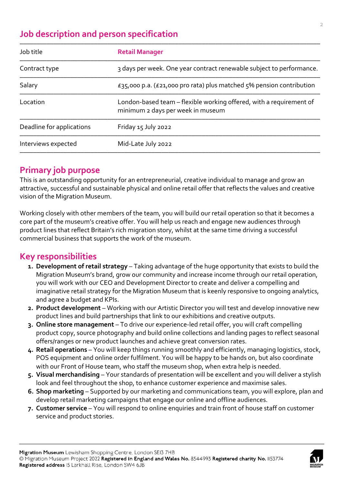# **Job description and person specification**

| Job title                 | <b>Retail Manager</b>                                                                                    |
|---------------------------|----------------------------------------------------------------------------------------------------------|
| Contract type             | 3 days per week. One year contract renewable subject to performance.                                     |
| Salary                    | £35,000 p.a. (£21,000 pro rata) plus matched $5\%$ pension contribution                                  |
| Location                  | London-based team - flexible working offered, with a requirement of<br>minimum 2 days per week in museum |
| Deadline for applications | Friday 15 July 2022                                                                                      |
| Interviews expected       | Mid-Late July 2022                                                                                       |
|                           |                                                                                                          |

## **Primary job purpose**

This is an outstanding opportunity for an entrepreneurial, creative individual to manage and grow an attractive, successful and sustainable physical and online retail offer that reflects the values and creative vision of the Migration Museum.

Working closely with other members of the team, you will build our retail operation so that it becomes a core part of the museum's creative offer. You will help us reach and engage new audiences through product lines that reflect Britain's rich migration story, whilst at the same time driving a successful commercial business that supports the work of the museum.

## **Key responsibilities**

- **1. Development of retail strategy** Taking advantage of the huge opportunity that exists to build the Migration Museum's brand, grow our community and increase income through our retail operation, you will work with our CEO and Development Director to create and deliver a compelling and imaginative retail strategy for the Migration Museum that is keenly responsive to ongoing analytics, and agree a budget and KPIs.
- **2. Product development** Working with our Artistic Director you will test and develop innovative new product lines and build partnerships that link to our exhibitions and creative outputs.
- **3. Online store management** To drive our experience-led retail offer, you will craft compelling product copy, source photography and build online collections and landing pages to reflect seasonal offers/ranges or new product launches and achieve great conversion rates.
- **4. Retail operations** You will keep things running smoothly and efficiently, managing logistics, stock, POS equipment and online order fulfilment. You will be happy to be hands on, but also coordinate with our Front of House team, who staff the museum shop, when extra help is needed.
- **5. Visual merchandising** Your standards of presentation will be excellent and you will deliver a stylish look and feel throughout the shop, to enhance customer experience and maximise sales.
- **6. Shop marketing** Supported by our marketing and communications team, you will explore, plan and develop retail marketing campaigns that engage our online and offline audiences.
- **7. Customer service** You will respond to online enquiries and train front of house staff on customer service and product stories.